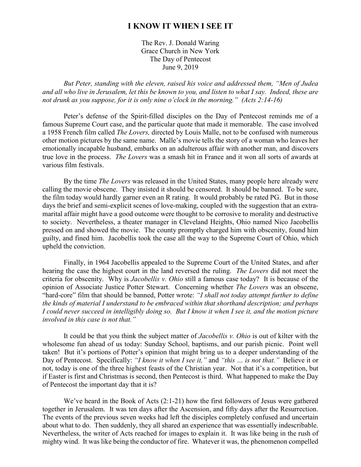## **I KNOW IT WHEN I SEE IT**

The Rev. J. Donald Waring Grace Church in New York The Day of Pentecost June 9, 2019

*But Peter, standing with the eleven, raised his voice and addressed them, "Men of Judea and all who live in Jerusalem, let this be known to you, and listen to what I say. Indeed, these are not drunk as you suppose, for it is only nine o'clock in the morning." (Acts 2:14-16)*

Peter's defense of the Spirit-filled disciples on the Day of Pentecost reminds me of a famous Supreme Court case, and the particular quote that made it memorable. The case involved a 1958 French film called *The Lovers,* directed by Louis Malle, not to be confused with numerous other motion pictures by the same name. Malle's movie tells the story of a woman who leaves her emotionally incapable husband, embarks on an adulterous affair with another man, and discovers true love in the process. *The Lovers* was a smash hit in France and it won all sorts of awards at various film festivals.

By the time *The Lovers* was released in the United States, many people here already were calling the movie obscene. They insisted it should be censored. It should be banned. To be sure, the film today would hardly garner even an R rating. It would probably be rated PG. But in those days the brief and semi-explicit scenes of love-making, coupled with the suggestion that an extramarital affair might have a good outcome were thought to be corrosive to morality and destructive to society. Nevertheless, a theater manager in Cleveland Heights, Ohio named Nico Jacobellis pressed on and showed the movie. The county promptly charged him with obscenity, found him guilty, and fined him. Jacobellis took the case all the way to the Supreme Court of Ohio, which upheld the conviction.

Finally, in 1964 Jacobellis appealed to the Supreme Court of the United States, and after hearing the case the highest court in the land reversed the ruling. *The Lovers* did not meet the criteria for obscenity. Why is *Jacobellis v. Ohio* still a famous case today? It is because of the opinion of Associate Justice Potter Stewart. Concerning whether *The Lovers* was an obscene, "hard-core" film that should be banned, Potter wrote: *"I shall not today attempt further to define the kinds of material I understand to be embraced within that shorthand description; and perhaps I could never succeed in intelligibly doing so. But I know it when I see it, and the motion picture involved in this case is not that."*

It could be that you think the subject matter of *Jacobellis v. Ohio* is out of kilter with the wholesome fun ahead of us today: Sunday School, baptisms, and our parish picnic. Point well taken! But it's portions of Potter's opinion that might bring us to a deeper understanding of the Day of Pentecost. Specifically: *"I know it when I see it,"* and *"this … is not that."* Believe it or not, today is one of the three highest feasts of the Christian year. Not that it's a competition, but if Easter is first and Christmas is second, then Pentecost is third. What happened to make the Day of Pentecost the important day that it is?

We've heard in the Book of Acts (2:1-21) how the first followers of Jesus were gathered together in Jerusalem. It was ten days after the Ascension, and fifty days after the Resurrection. The events of the previous seven weeks had left the disciples completely confused and uncertain about what to do. Then suddenly, they all shared an experience that was essentially indescribable. Nevertheless, the writer of Acts reached for images to explain it. It was like being in the rush of mighty wind. It was like being the conductor of fire. Whatever it was, the phenomenon compelled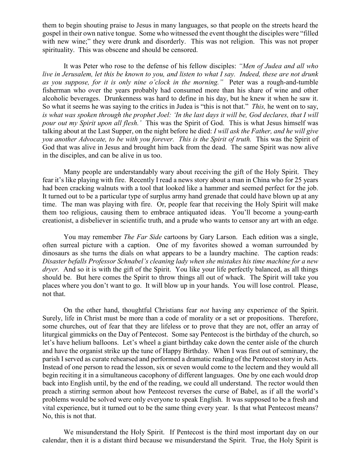them to begin shouting praise to Jesus in many languages, so that people on the streets heard the gospel in their own native tongue. Some who witnessed the event thought the disciples were "filled with new wine;" they were drunk and disorderly. This was not religion. This was not proper spirituality. This was obscene and should be censored.

It was Peter who rose to the defense of his fellow disciples: *"Men of Judea and all who live in Jerusalem, let this be known to you, and listen to what I say. Indeed, these are not drunk as you suppose, for it is only nine o'clock in the morning."* Peter was a rough-and-tumble fisherman who over the years probably had consumed more than his share of wine and other alcoholic beverages. Drunkenness was hard to define in his day, but he knew it when he saw it. So what it seems he was saying to the critics in Judea is "this is not that." *This,* he went on to say, *is what was spoken through the prophet Joel: 'In the last days it will be, God declares, that I will pour out my Spirit upon all flesh.'* This was the Spirit of God. This is what Jesus himself was talking about at the Last Supper, on the night before he died: *I will ask the Father, and he will give you another Advocate, to be with you forever. This is the Spirit of truth.* This was the Spirit of God that was alive in Jesus and brought him back from the dead. The same Spirit was now alive in the disciples, and can be alive in us too.

Many people are understandably wary about receiving the gift of the Holy Spirit. They fear it's like playing with fire. Recently I read a news story about a man in China who for 25 years had been cracking walnuts with a tool that looked like a hammer and seemed perfect for the job. It turned out to be a particular type of surplus army hand grenade that could have blown up at any time. The man was playing with fire. Or, people fear that receiving the Holy Spirit will make them too religious, causing them to embrace antiquated ideas. You'll become a young-earth creationist, a disbeliever in scientific truth, and a prude who wants to censor any art with an edge.

You may remember *The Far Side* cartoons by Gary Larson. Each edition was a single, often surreal picture with a caption. One of my favorites showed a woman surrounded by dinosaurs as she turns the dials on what appears to be a laundry machine. The caption reads: *Disaster befalls Professor Schnabel's cleaning lady when she mistakes his time machine for a new dryer.* And so it is with the gift of the Spirit. You like your life perfectly balanced, as all things should be. But here comes the Spirit to throw things all out of whack. The Spirit will take you places where you don't want to go. It will blow up in your hands. You will lose control. Please, not that.

On the other hand, thoughtful Christians fear *not* having any experience of the Spirit. Surely, life in Christ must be more than a code of morality or a set or propositions. Therefore, some churches, out of fear that they are lifeless or to prove that they are not, offer an array of liturgical gimmicks on the Day of Pentecost. Some say Pentecost is the birthday of the church, so let's have helium balloons. Let's wheel a giant birthday cake down the center aisle of the church and have the organist strike up the tune of Happy Birthday. When I was first out of seminary, the parish I served as curate rehearsed and performed a dramatic reading of the Pentecost story in Acts. Instead of one person to read the lesson, six or seven would come to the lectern and they would all begin reciting it in a simultaneous cacophony of different languages. One by one each would drop back into English until, by the end of the reading, we could all understand. The rector would then preach a stirring sermon about how Pentecost reverses the curse of Babel, as if all the world's problems would be solved were only everyone to speak English. It was supposed to be a fresh and vital experience, but it turned out to be the same thing every year. Is that what Pentecost means? No, this is not that.

We misunderstand the Holy Spirit. If Pentecost is the third most important day on our calendar, then it is a distant third because we misunderstand the Spirit. True, the Holy Spirit is